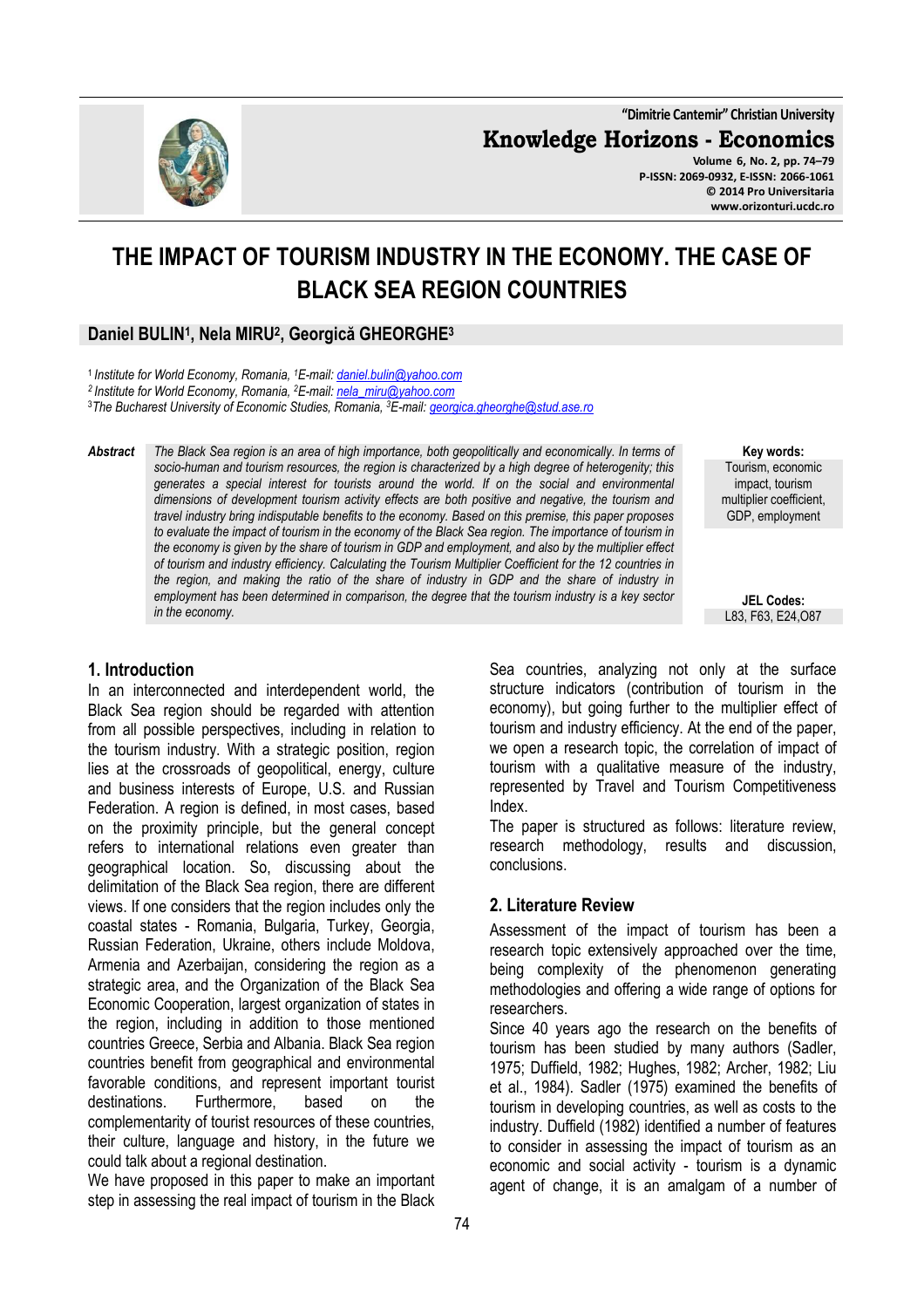**"Dimitrie Cantemir" Christian University**

**Knowledge Horizons - Economics**

**Volume 6, No. 2, pp. 74–79 P-ISSN: 2069-0932, E-ISSN: 2066-1061 © 2014 Pro Universitaria www.orizonturi.ucdc.ro**

# **THE IMPACT OF TOURISM INDUSTRY IN THE ECONOMY. THE CASE OF BLACK SEA REGION COUNTRIES**

#### **Daniel BULIN<sup>1</sup> , Nela MIRU<sup>2</sup> , Georgică GHEORGHE<sup>3</sup>**

<sup>1</sup>*Institute for World Economy, Romania, <sup>1</sup>E-mail: daniel.bulin@yahoo.com*

*<sup>2</sup>Institute for World Economy, Romania, <sup>2</sup>E-mail: nela\_miru@yahoo.com* 

<sup>3</sup>*The Bucharest University of Economic Studies, Romania, <sup>3</sup>E-mail: georgica.gheorghe@stud.ase.ro* 

*Abstract The Black Sea region is an area of high importance, both geopolitically and economically. In terms of socio-human and tourism resources, the region is characterized by a high degree of heterogenity; this generates a special interest for tourists around the world. If on the social and environmental dimensions of development tourism activity effects are both positive and negative, the tourism and travel industry bring indisputable benefits to the economy. Based on this premise, this paper proposes to evaluate the impact of tourism in the economy of the Black Sea region. The importance of tourism in the economy is given by the share of tourism in GDP and employment, and also by the multiplier effect of tourism and industry efficiency. Calculating the Tourism Multiplier Coefficient for the 12 countries in the region, and making the ratio of the share of industry in GDP and the share of industry in employment has been determined in comparison, the degree that the tourism industry is a key sector in the economy.* 

#### **Key words:** Tourism, economic impact, tourism multiplier coefficient, GDP, employment

**JEL Codes:** L83, F63, E24,O87

#### **1. Introduction**

In an interconnected and interdependent world, the Black Sea region should be regarded with attention from all possible perspectives, including in relation to the tourism industry. With a strategic position, region lies at the crossroads of geopolitical, energy, culture and business interests of Europe, U.S. and Russian Federation. A region is defined, in most cases, based on the proximity principle, but the general concept refers to international relations even greater than geographical location. So, discussing about the delimitation of the Black Sea region, there are different views. If one considers that the region includes only the coastal states - Romania, Bulgaria, Turkey, Georgia, Russian Federation, Ukraine, others include Moldova, Armenia and Azerbaijan, considering the region as a strategic area, and the Organization of the Black Sea Economic Cooperation, largest organization of states in the region, including in addition to those mentioned countries Greece, Serbia and Albania. Black Sea region countries benefit from geographical and environmental favorable conditions, and represent important tourist destinations. Furthermore, based on the complementarity of tourist resources of these countries, their culture, language and history, in the future we could talk about a regional destination.

We have proposed in this paper to make an important step in assessing the real impact of tourism in the Black

Sea countries, analyzing not only at the surface structure indicators (contribution of tourism in the economy), but going further to the multiplier effect of tourism and industry efficiency. At the end of the paper, we open a research topic, the correlation of impact of tourism with a qualitative measure of the industry, represented by Travel and Tourism Competitiveness Index.

The paper is structured as follows: literature review, research methodology, results and discussion, conclusions.

#### **2. Literature Review**

Assessment of the impact of tourism has been a research topic extensively approached over the time, being complexity of the phenomenon generating methodologies and offering a wide range of options for researchers.

Since 40 years ago the research on the benefits of tourism has been studied by many authors (Sadler, 1975; Duffield, 1982; Hughes, 1982; Archer, 1982; Liu et al., 1984). Sadler (1975) examined the benefits of tourism in developing countries, as well as costs to the industry. Duffield (1982) identified a number of features to consider in assessing the impact of tourism as an economic and social activity - tourism is a dynamic agent of change, it is an amalgam of a number of

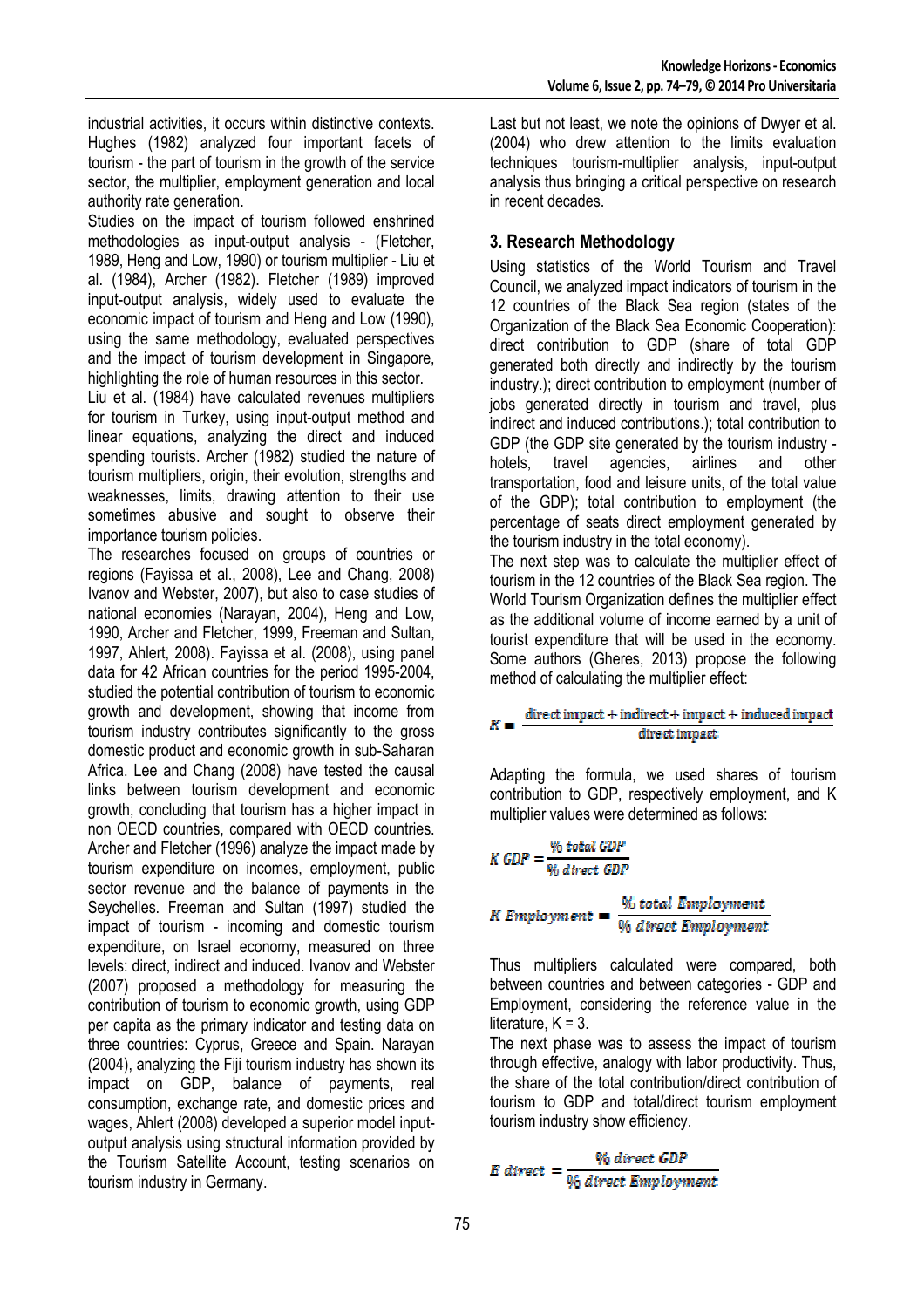industrial activities, it occurs within distinctive contexts. Hughes (1982) analyzed four important facets of tourism - the part of tourism in the growth of the service sector, the multiplier, employment generation and local authority rate generation.

Studies on the impact of tourism followed enshrined methodologies as input-output analysis - (Fletcher, 1989, Heng and Low, 1990) or tourism multiplier - Liu et al. (1984), Archer (1982). Fletcher (1989) improved input-output analysis, widely used to evaluate the economic impact of tourism and Heng and Low (1990), using the same methodology, evaluated perspectives and the impact of tourism development in Singapore, highlighting the role of human resources in this sector.

Liu et al. (1984) have calculated revenues multipliers for tourism in Turkey, using input-output method and linear equations, analyzing the direct and induced spending tourists. Archer (1982) studied the nature of tourism multipliers, origin, their evolution, strengths and weaknesses, limits, drawing attention to their use sometimes abusive and sought to observe their importance tourism policies.

The researches focused on groups of countries or regions (Fayissa et al., 2008), Lee and Chang, 2008) Ivanov and Webster, 2007), but also to case studies of national economies (Narayan, 2004), Heng and Low, 1990, Archer and Fletcher, 1999, Freeman and Sultan, 1997, Ahlert, 2008). Fayissa et al. (2008), using panel data for 42 African countries for the period 1995-2004, studied the potential contribution of tourism to economic growth and development, showing that income from tourism industry contributes significantly to the gross domestic product and economic growth in sub-Saharan Africa. Lee and Chang (2008) have tested the causal links between tourism development and economic growth, concluding that tourism has a higher impact in non OECD countries, compared with OECD countries. Archer and Fletcher (1996) analyze the impact made by tourism expenditure on incomes, employment, public sector revenue and the balance of payments in the Seychelles. Freeman and Sultan (1997) studied the impact of tourism - incoming and domestic tourism expenditure, on Israel economy, measured on three levels: direct, indirect and induced. Ivanov and Webster (2007) proposed a methodology for measuring the contribution of tourism to economic growth, using GDP per capita as the primary indicator and testing data on three countries: Cyprus, Greece and Spain. Narayan (2004), analyzing the Fiji tourism industry has shown its impact on GDP, balance of payments, real consumption, exchange rate, and domestic prices and wages, Ahlert (2008) developed a superior model inputoutput analysis using structural information provided by the Tourism Satellite Account, testing scenarios on tourism industry in Germany.

Last but not least, we note the opinions of Dwyer et al. (2004) who drew attention to the limits evaluation techniques tourism-multiplier analysis, input-output analysis thus bringing a critical perspective on research in recent decades.

## **3. Research Methodology**

Using statistics of the World Tourism and Travel Council, we analyzed impact indicators of tourism in the 12 countries of the Black Sea region (states of the Organization of the Black Sea Economic Cooperation): direct contribution to GDP (share of total GDP generated both directly and indirectly by the tourism industry.); direct contribution to employment (number of jobs generated directly in tourism and travel, plus indirect and induced contributions.); total contribution to GDP (the GDP site generated by the tourism industry hotels, travel agencies, airlines and other transportation, food and leisure units, of the total value of the GDP); total contribution to employment (the percentage of seats direct employment generated by the tourism industry in the total economy).

The next step was to calculate the multiplier effect of tourism in the 12 countries of the Black Sea region. The World Tourism Organization defines the multiplier effect as the additional volume of income earned by a unit of tourist expenditure that will be used in the economy. Some authors (Gheres, 2013) propose the following method of calculating the multiplier effect:

## $K = \frac{\text{direct impact} + \text{indirect} + \text{impact} + \text{induced impact}}{1 + \text{induced impact}}$ direct impact.

Adapting the formula, we used shares of tourism contribution to GDP, respectively employment, and K multiplier values were determined as follows:

$$
K\,GDP = \frac{\% \, total \, GDP}{\% \, direct \, GDP}
$$

K Employment =  $\frac{\% \text{ total}_i}{\% \text{ direct}_i}$  Employment

Thus multipliers calculated were compared, both between countries and between categories - GDP and Employment, considering the reference value in the literature,  $K = 3$ .

The next phase was to assess the impact of tourism through effective, analogy with labor productivity. Thus, the share of the total contribution/direct contribution of tourism to GDP and total/direct tourism employment tourism industry show efficiency.

$$
E \text{ direct} = \frac{\% \text{ direct GDP}}{\% \text{ direct Employment}}
$$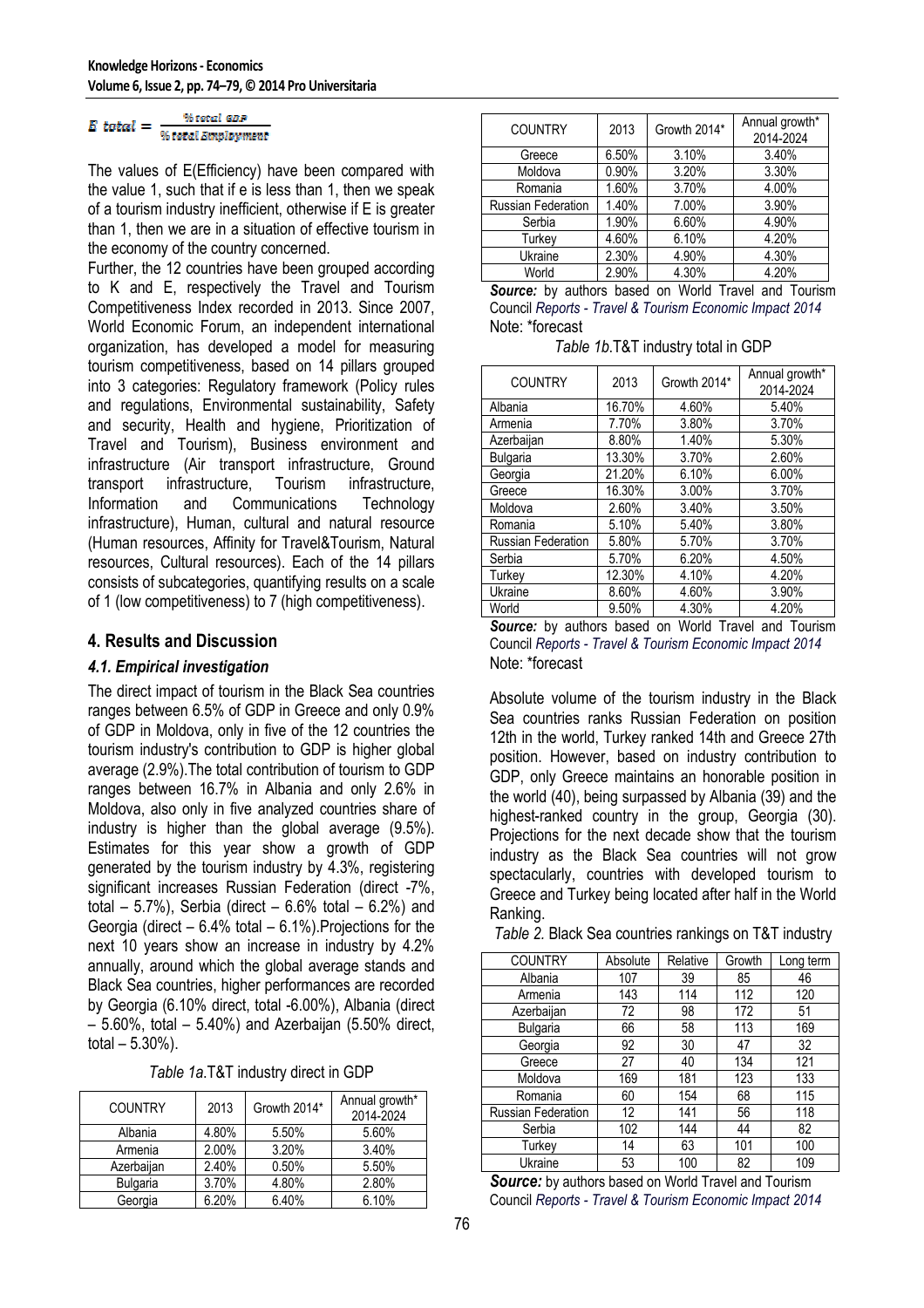#### $E\ total = \frac{\% total\ GDP}{\% total\ Employment}$ Weater GDP

The values of E(Efficiency) have been compared with the value 1, such that if e is less than 1, then we speak of a tourism industry inefficient, otherwise if E is greater than 1, then we are in a situation of effective tourism in the economy of the country concerned.

Further, the 12 countries have been grouped according to K and E, respectively the Travel and Tourism Competitiveness Index recorded in 2013. Since 2007, World Economic Forum, an independent international organization, has developed a model for measuring tourism competitiveness, based on 14 pillars grouped into 3 categories: Regulatory framework (Policy rules and regulations, Environmental sustainability, Safety and security, Health and hygiene, Prioritization of Travel and Tourism), Business environment and infrastructure (Air transport infrastructure, Ground transport infrastructure, Tourism infrastructure, Information and Communications Technology infrastructure), Human, cultural and natural resource (Human resources, Affinity for Travel&Tourism, Natural resources, Cultural resources). Each of the 14 pillars consists of subcategories, quantifying results on a scale of 1 (low competitiveness) to 7 (high competitiveness).

#### **4. Results and Discussion**

#### *4.1. Empirical investigation*

The direct impact of tourism in the Black Sea countries ranges between 6.5% of GDP in Greece and only 0.9% of GDP in Moldova, only in five of the 12 countries the tourism industry's contribution to GDP is higher global average (2.9%).The total contribution of tourism to GDP ranges between 16.7% in Albania and only 2.6% in Moldova, also only in five analyzed countries share of industry is higher than the global average (9.5%). Estimates for this year show a growth of GDP generated by the tourism industry by 4.3%, registering significant increases Russian Federation (direct -7%, total  $-5.7%$ ), Serbia (direct  $-6.6%$  total  $-6.2%$ ) and Georgia (direct  $-6.4\%$  total  $-6.1\%$ ). Projections for the next 10 years show an increase in industry by 4.2% annually, around which the global average stands and Black Sea countries, higher performances are recorded by Georgia (6.10% direct, total -6.00%), Albania (direct – 5.60%, total – 5.40%) and Azerbaijan (5.50% direct, total  $-5.30%$ ).

| Table 1a.T&T industry direct in GDP |  |
|-------------------------------------|--|
|-------------------------------------|--|

| <b>COUNTRY</b>  | 2013  | Growth 2014* | Annual growth*<br>2014-2024 |
|-----------------|-------|--------------|-----------------------------|
| Albania         | 4.80% | 5.50%        | 5.60%                       |
| Armenia         | 2.00% | 3.20%        | 3.40%                       |
| Azerbaijan      | 2.40% | 0.50%        | 5.50%                       |
| <b>Bulgaria</b> | 3.70% | 4.80%        | 2.80%                       |
| Georgia         | 6.20% | 6.40%        | 6.10%                       |

| <b>COUNTRY</b>     | 2013  | Growth 2014* | Annual growth*<br>2014-2024 |
|--------------------|-------|--------------|-----------------------------|
| Greece             | 6.50% | 3.10%        | 3.40%                       |
| Moldova            | 0.90% | 3.20%        | 3.30%                       |
| Romania            | 1.60% | 3.70%        | 4.00%                       |
| Russian Federation | 1.40% | 7.00%        | 3.90%                       |
| Serbia             | 1.90% | 6.60%        | 4.90%                       |
| Turkey             | 4.60% | 6.10%        | 4.20%                       |
| Ukraine            | 2.30% | 4.90%        | 4.30%                       |
| World              | 2.90% | 4.30%        | 4.20%                       |

| <b>Source:</b> by authors based on World Travel and Tourism |  |  |  |  |
|-------------------------------------------------------------|--|--|--|--|
| Council Reports - Travel & Tourism Economic Impact 2014     |  |  |  |  |
| Note: *forecast                                             |  |  |  |  |

*Table 1b*.T&T industry total in GDP

| <b>COUNTRY</b>            | 2013   | Growth 2014* | Annual growth*<br>2014-2024 |
|---------------------------|--------|--------------|-----------------------------|
| Albania                   | 16.70% | 4.60%        | 5.40%                       |
| Armenia                   | 7.70%  | 3.80%        | 3.70%                       |
| Azerbaijan                | 8.80%  | 1.40%        | 5.30%                       |
| Bulgaria                  | 13.30% | 3.70%        | 2.60%                       |
| Georgia                   | 21.20% | 6.10%        | 6.00%                       |
| Greece                    | 16.30% | 3.00%        | 3.70%                       |
| Moldova                   | 2.60%  | 3.40%        | 3.50%                       |
| Romania                   | 5.10%  | 5.40%        | 3.80%                       |
| <b>Russian Federation</b> | 5.80%  | 5.70%        | 3.70%                       |
| Serbia                    | 5.70%  | 6.20%        | 4.50%                       |
| Turkey                    | 12.30% | 4.10%        | 4.20%                       |
| Ukraine                   | 8.60%  | 4.60%        | 3.90%                       |
| World                     | 9.50%  | 4.30%        | 4.20%                       |

**Source:** by authors based on World Travel and Tourism Council *Reports - Travel & Tourism Economic Impact 2014*  Note: \*forecast

Absolute volume of the tourism industry in the Black Sea countries ranks Russian Federation on position 12th in the world, Turkey ranked 14th and Greece 27th position. However, based on industry contribution to GDP, only Greece maintains an honorable position in the world (40), being surpassed by Albania (39) and the highest-ranked country in the group, Georgia (30). Projections for the next decade show that the tourism industry as the Black Sea countries will not grow spectacularly, countries with developed tourism to Greece and Turkey being located after half in the World Ranking.

| Table 2. Black Sea countries rankings on T&T industry |  |  |  |
|-------------------------------------------------------|--|--|--|
|-------------------------------------------------------|--|--|--|

| <b>COUNTRY</b>     | Absolute | Relative | Growth | Long term |
|--------------------|----------|----------|--------|-----------|
| Albania            | 107      | 39       | 85     | 46        |
| Armenia            | 143      | 114      | 112    | 120       |
| Azerbaijan         | 72       | 98       | 172    | 51        |
| Bulgaria           | 66       | 58       | 113    | 169       |
| Georgia            | 92       | 30       | 47     | 32        |
| Greece             | 27       | 40       | 134    | 121       |
| Moldova            | 169      | 181      | 123    | 133       |
| Romania            | 60       | 154      | 68     | 115       |
| Russian Federation | 12       | 141      | 56     | 118       |
| Serbia             | 102      | 144      | 44     | 82        |
| Turkey             | 14       | 63       | 101    | 100       |
| Ukraine            | 53       | 100      | 82     | 109       |

*Source:* by authors based on World Travel and Tourism Council *Reports - Travel & Tourism Economic Impact 2014*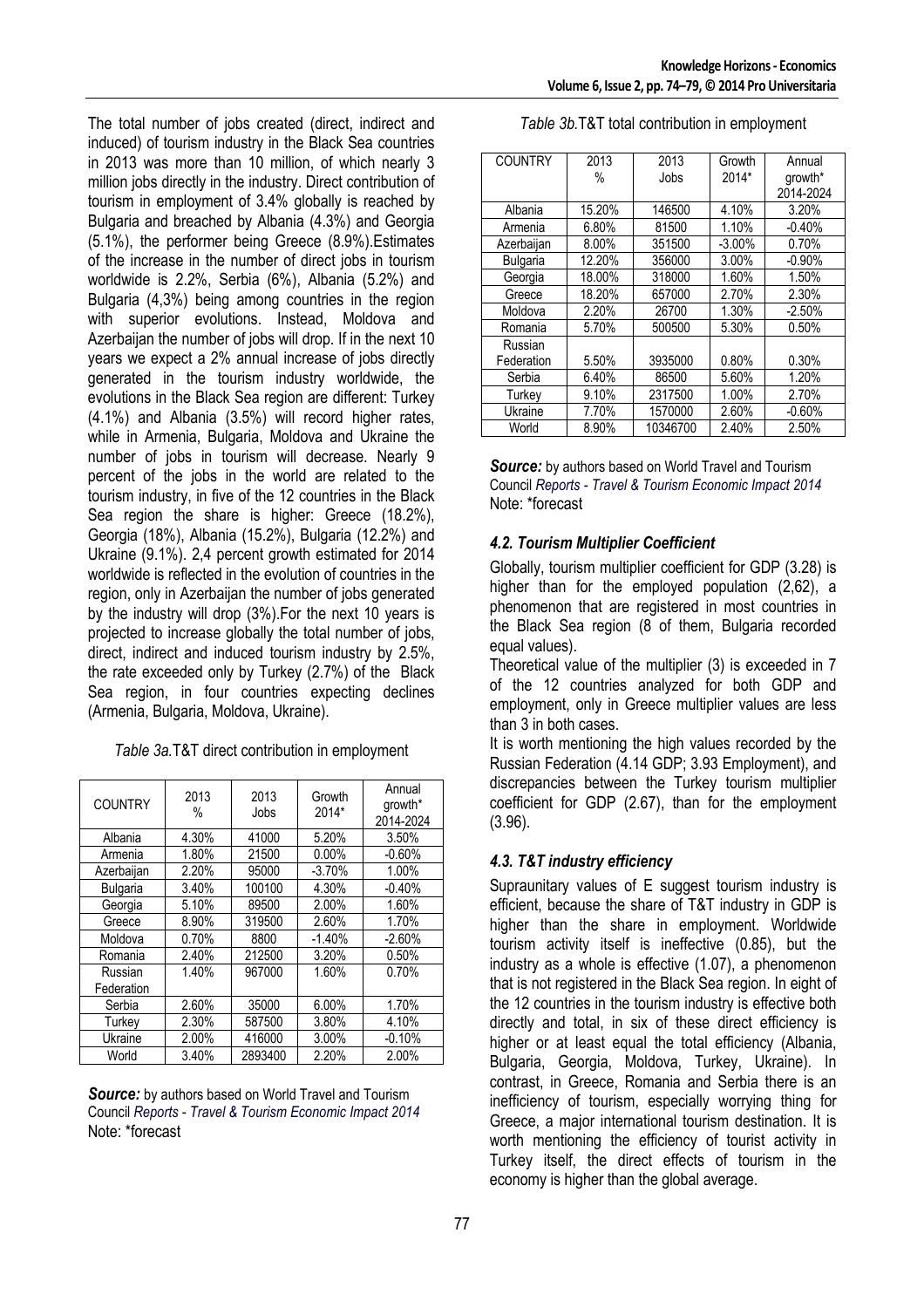The total number of jobs created (direct, indirect and induced) of tourism industry in the Black Sea countries in 2013 was more than 10 million, of which nearly 3 million jobs directly in the industry. Direct contribution of tourism in employment of 3.4% globally is reached by Bulgaria and breached by Albania (4.3%) and Georgia (5.1%), the performer being Greece (8.9%).Estimates of the increase in the number of direct jobs in tourism worldwide is 2.2%, Serbia (6%), Albania (5.2%) and Bulgaria (4,3%) being among countries in the region with superior evolutions. Instead, Moldova and Azerbaijan the number of jobs will drop. If in the next 10 years we expect a 2% annual increase of jobs directly generated in the tourism industry worldwide, the evolutions in the Black Sea region are different: Turkey (4.1%) and Albania (3.5%) will record higher rates, while in Armenia, Bulgaria, Moldova and Ukraine the number of jobs in tourism will decrease. Nearly 9 percent of the jobs in the world are related to the tourism industry, in five of the 12 countries in the Black Sea region the share is higher: Greece (18.2%), Georgia (18%), Albania (15.2%), Bulgaria (12.2%) and Ukraine (9.1%). 2,4 percent growth estimated for 2014 worldwide is reflected in the evolution of countries in the region, only in Azerbaijan the number of jobs generated by the industry will drop (3%).For the next 10 years is projected to increase globally the total number of jobs, direct, indirect and induced tourism industry by 2.5%, the rate exceeded only by Turkey (2.7%) of the Black Sea region, in four countries expecting declines (Armenia, Bulgaria, Moldova, Ukraine).

| <b>COUNTRY</b>        | 2013<br>% | 2013<br>Jobs | Growth<br>2014* | Annual<br>growth*<br>2014-2024 |
|-----------------------|-----------|--------------|-----------------|--------------------------------|
| Albania               | 4.30%     | 41000        | 5.20%           | 3.50%                          |
| Armenia               | 1.80%     | 21500        | 0.00%           | $-0.60%$                       |
| Azerbaijan            | 2.20%     | 95000        | $-3.70%$        | 1.00%                          |
| <b>Bulgaria</b>       | 3.40%     | 100100       | 4.30%           | $-0.40%$                       |
| Georgia               | 5.10%     | 89500        | 2.00%           | 1.60%                          |
| Greece                | 8.90%     | 319500       | 2.60%           | 1.70%                          |
| Moldova               | 0.70%     | 8800         | $-1.40%$        | $-2.60%$                       |
| Romania               | 2.40%     | 212500       | 3.20%           | 0.50%                          |
| Russian<br>Federation | 1.40%     | 967000       | 1.60%           | 0.70%                          |
| Serbia                | 2.60%     | 35000        | 6.00%           | 1.70%                          |
| Turkey                | 2.30%     | 587500       | 3.80%           | 4.10%                          |
| Ukraine               | 2.00%     | 416000       | 3.00%           | $-0.10%$                       |
| World                 | 3.40%     | 2893400      | 2.20%           | 2.00%                          |

**Source:** by authors based on World Travel and Tourism Council *Reports - Travel & Tourism Economic Impact 2014*  Note: \*forecast

| 2013   | 2013     | Growth   | Annual    |
|--------|----------|----------|-----------|
| %      | Jobs     | 2014*    | growth*   |
|        |          |          | 2014-2024 |
| 15.20% | 146500   | 4.10%    | 3.20%     |
| 6.80%  | 81500    | 1.10%    | $-0.40%$  |
| 8.00%  | 351500   | $-3.00%$ | 0.70%     |
| 12.20% | 356000   | $3.00\%$ | $-0.90%$  |
| 18.00% | 318000   | 1.60%    | 1.50%     |
| 18.20% | 657000   | 2.70%    | 2.30%     |
| 2.20%  | 26700    | 1.30%    | $-2.50%$  |
| 5.70%  | 500500   | 5.30%    | 0.50%     |
|        |          |          |           |
| 5.50%  | 3935000  | 0.80%    | 0.30%     |
| 6.40%  | 86500    | 5.60%    | 1.20%     |
| 9.10%  | 2317500  | 1.00%    | 2.70%     |
| 7.70%  | 1570000  | 2.60%    | $-0.60%$  |
| 8.90%  | 10346700 | 2.40%    | 2.50%     |
|        |          |          |           |

*Table 3b.*T&T total contribution in employment

**Source:** by authors based on World Travel and Tourism Council *Reports - Travel & Tourism Economic Impact 2014*  Note: \*forecast

### *4.2. Tourism Multiplier Coefficient*

Globally, tourism multiplier coefficient for GDP (3.28) is higher than for the employed population (2,62), a phenomenon that are registered in most countries in the Black Sea region (8 of them, Bulgaria recorded equal values).

Theoretical value of the multiplier (3) is exceeded in 7 of the 12 countries analyzed for both GDP and employment, only in Greece multiplier values are less than 3 in both cases.

It is worth mentioning the high values recorded by the Russian Federation (4.14 GDP; 3.93 Employment), and discrepancies between the Turkey tourism multiplier coefficient for GDP (2.67), than for the employment (3.96).

## *4.3. T&T industry efficiency*

Supraunitary values of E suggest tourism industry is efficient, because the share of T&T industry in GDP is higher than the share in employment. Worldwide tourism activity itself is ineffective (0.85), but the industry as a whole is effective (1.07), a phenomenon that is not registered in the Black Sea region. In eight of the 12 countries in the tourism industry is effective both directly and total, in six of these direct efficiency is higher or at least equal the total efficiency (Albania, Bulgaria, Georgia, Moldova, Turkey, Ukraine). In contrast, in Greece, Romania and Serbia there is an inefficiency of tourism, especially worrying thing for Greece, a major international tourism destination. It is worth mentioning the efficiency of tourist activity in Turkey itself, the direct effects of tourism in the economy is higher than the global average.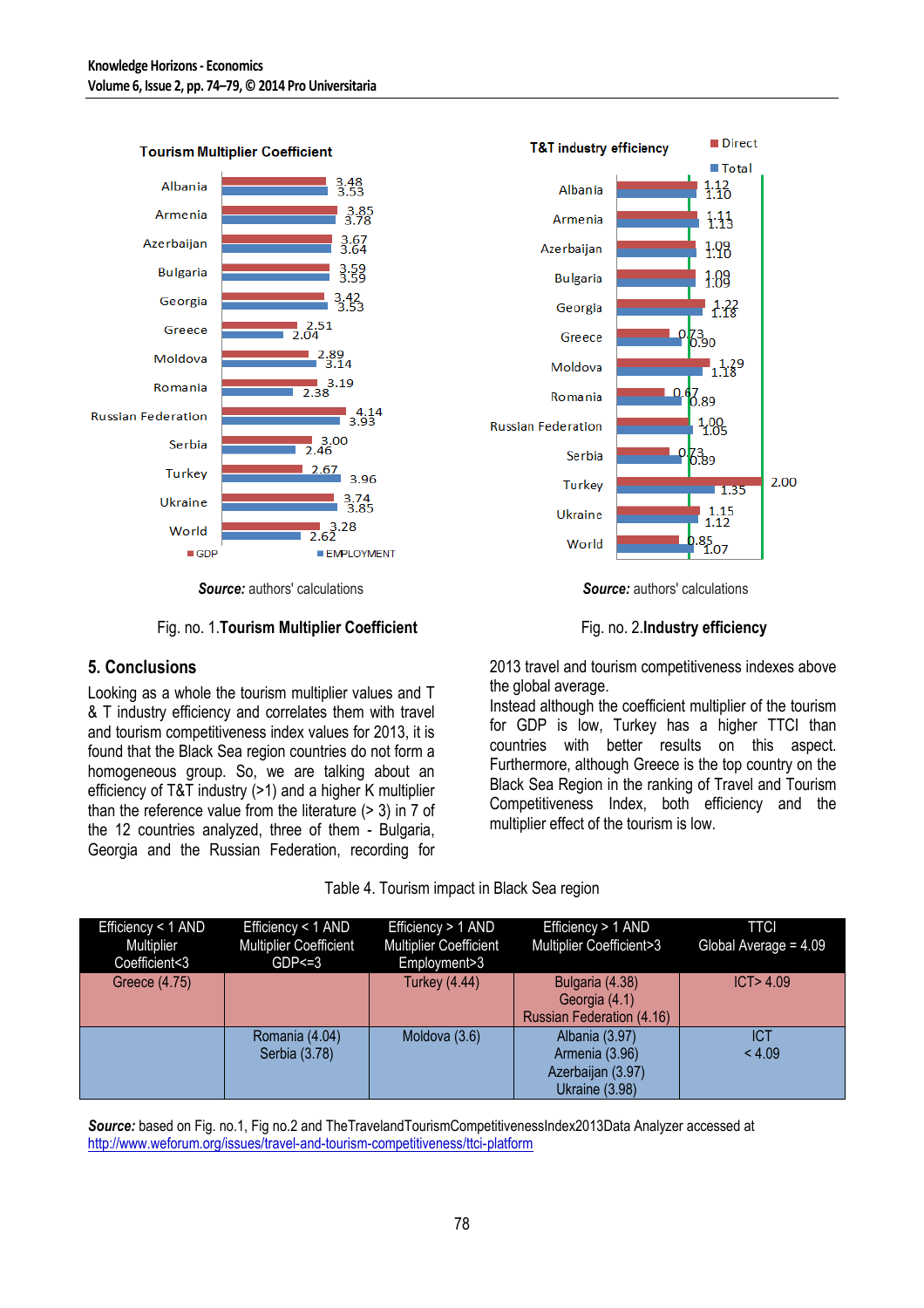

**Tourism Multiplier Coefficient** 

*Source:* authors' calculations *Source:* authors' calculations

Fig. no. 1.**Tourism Multiplier Coefficient** Fig. no. 2.**Industry efficiency**

#### **5. Conclusions**

Looking as a whole the tourism multiplier values and T & T industry efficiency and correlates them with travel and tourism competitiveness index values for 2013, it is found that the Black Sea region countries do not form a homogeneous group. So, we are talking about an efficiency of T&T industry (>1) and a higher K multiplier than the reference value from the literature (> 3) in 7 of the 12 countries analyzed, three of them - Bulgaria, Georgia and the Russian Federation, recording for





2013 travel and tourism competitiveness indexes above the global average.

Instead although the coefficient multiplier of the tourism for GDP is low, Turkey has a higher TTCI than countries with better results on this aspect. Furthermore, although Greece is the top country on the Black Sea Region in the ranking of Travel and Tourism Competitiveness Index, both efficiency and the multiplier effect of the tourism is low.

| Efficiency < 1 AND | Efficiency < 1 AND            | Efficiency > 1 AND            | Efficiency > 1 AND        | <b>TTCI</b>             |
|--------------------|-------------------------------|-------------------------------|---------------------------|-------------------------|
| Multiplier         | <b>Multiplier Coefficient</b> | <b>Multiplier Coefficient</b> | Multiplier Coefficient>3  | Global Average = $4.09$ |
| Coefficient<3      | $GDP < = 3$                   | Employment>3                  |                           |                         |
| Greece (4.75)      |                               | <b>Turkey (4.44)</b>          | Bulgaria (4.38)           | ICT > 4.09              |
|                    |                               |                               | Georgia (4.1)             |                         |
|                    |                               |                               | Russian Federation (4.16) |                         |
|                    | Romania (4.04)                | Moldova (3.6)                 | Albania (3.97)            | ICT                     |
|                    | Serbia (3.78)                 |                               | Armenia (3.96)            | < 4.09                  |
|                    |                               |                               | Azerbaijan (3.97)         |                         |
|                    |                               |                               | Ukraine (3.98)            |                         |

*Source:* based on Fig. no.1, Fig no.2 and TheTravelandTourismCompetitivenessIndex2013Data Analyzer accessed at http://www.weforum.org/issues/travel-and-tourism-competitiveness/ttci-platform